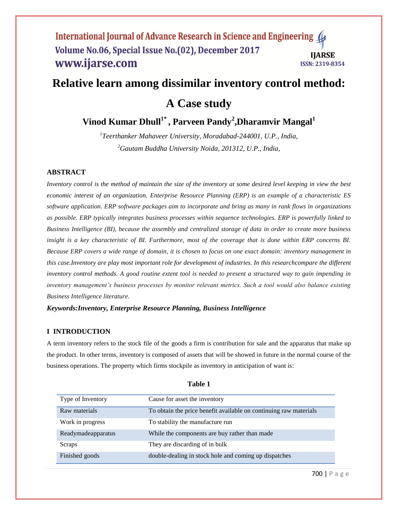# **Relative learn among dissimilar inventory control method:**

**A Case study**

**Vinod Kumar Dhull1\* , Parveen Pandy<sup>2</sup> ,Dharamvir Mangal<sup>1</sup>**

*1 Teerthanker Mahaveer University, Moradabad-244001, U.P., India, <sup>2</sup>Gautam Buddha University Noida, 201312, U.P., India,*

## **ABSTRACT**

*Inventory control is the method of maintain the size of the inventory at some desired level keeping in view the best economic interest of an organization. Enterprise Resource Planning (ERP) is an example of a characteristic ES software application. ERP software packages aim to incorporate and bring as many in rank flows in organizations as possible. ERP typically integrates business processes within sequence technologies. ERP is powerfully linked to Business Intelligence (BI), because the assembly and centralized storage of data in order to create more business insight is a key characteristic of BI. Furthermore, most of the coverage that is done within ERP concerns BI. Because ERP covers a wide range of domain, it is chosen to focus on one exact domain: inventory management in this case.Inventory are play most important role for development of industries. In this researchcompare the different inventory control methods. A good routine extent tool is needed to present a structured way to gain impending in inventory management's business processes by monitor relevant metrics. Such a tool would also balance existing Business Intelligence literature.*

#### *Keywords:Inventory, Enterprise Resource Planning, Business Intelligence*

#### **I INTRODUCTION**

A term inventory refers to the stock file of the goods a firm is contribution for sale and the apparatus that make up the product. In other terms, inventory is composed of assets that will be showed in future in the normal course of the business operations. The property which firms stockpile as inventory in anticipation of want is:

| Type of Inventory  | Cause for asset the inventory                                     |
|--------------------|-------------------------------------------------------------------|
| Raw materials      | To obtain the price benefit available on continuing raw materials |
| Work in progress   | To stability the manufacture run                                  |
| Readymadeapparatus | While the components are buy rather than made                     |
| Scraps             | They are discarding of in bulk                                    |
| Finished goods     | double-dealing in stock hole and coming up dispatches             |

**Table 1**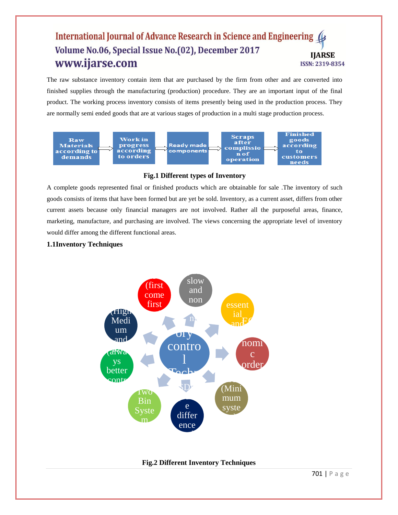The raw substance inventory contain item that are purchased by the firm from other and are converted into finished supplies through the manufacturing (production) procedure. They are an important input of the final product. The working process inventory consists of items presently being used in the production process. They are normally semi ended goods that are at various stages of production in a multi stage production process.





A complete goods represented final or finished products which are obtainable for sale .The inventory of such goods consists of items that have been formed but are yet be sold. Inventory, as a current asset, differs from other current assets because only financial managers are not involved. Rather all the purposeful areas, finance, marketing, manufacture, and purchasing are involved. The views concerning the appropriate level of inventory would differ among the different functional areas.

## **1.1Inventory Techniques**



# **Fig.2 Different Inventory Techniques**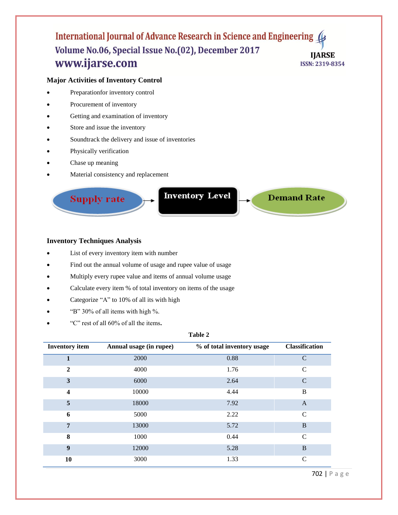## **Major Activities of Inventory Control**

- Preparationfor inventory control
- Procurement of inventory
- Getting and examination of inventory
- Store and issue the inventory
- Soundtrack the delivery and issue of inventories
- Physically verification
- Chase up meaning
- Material consistency and replacement

**Supply rate** 

**Inventory Level** 

**Demand Rate** 

## **Inventory Techniques Analysis**

- List of every inventory item with number
- Find out the annual volume of usage and rupee value of usage
- Multiply every rupee value and items of annual volume usage
- Calculate every item % of total inventory on items of the usage
- Categorize "A" to 10% of all its with high
- "B" 30% of all items with high %.
- "C" rest of all 60% of all the items**.**

#### **Table 2**

| <b>Inventory</b> item   | Annual usage (in rupee) | % of total inventory usage | <b>Classification</b> |
|-------------------------|-------------------------|----------------------------|-----------------------|
| 1                       | 2000                    | 0.88                       | $\mathcal{C}$         |
| $\mathbf{2}$            | 4000                    | 1.76                       | $\mathcal{C}$         |
| 3                       | 6000                    | 2.64                       | $\mathcal{C}$         |
| $\overline{\mathbf{4}}$ | 10000                   | 4.44                       | B                     |
| 5                       | 18000                   | 7.92                       | $\overline{A}$        |
| 6                       | 5000                    | 2.22                       | $\mathcal{C}$         |
| 7                       | 13000                   | 5.72                       | B                     |
| 8                       | 1000                    | 0.44                       | $\mathcal{C}$         |
| 9                       | 12000                   | 5.28                       | B                     |
| 10                      | 3000                    | 1.33                       | C                     |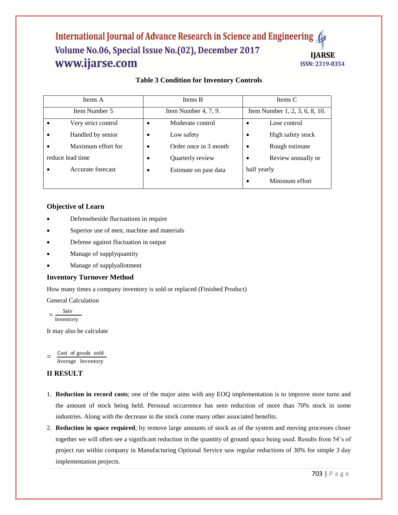# **Table 3 Condition for Inventory Controls**

| Items A             | Items B               | Items C                        |  |
|---------------------|-----------------------|--------------------------------|--|
| Item Number 5       | Item Number 4, 7, 9.  | Item Number 1, 2, 3, 6, 8, 10. |  |
| Very strict control | Moderate control      | Lose control<br>٠              |  |
| Handled by senior   | Low safety            | High safety stock              |  |
| Maximum effort for  | Order once in 3 month | Rough estimate                 |  |
| reduce lead time    | Quarterly review      | Review annually or<br>٠        |  |
| Accurate forecast   | Estimate on past data | half yearly                    |  |
|                     |                       | Minimum effort                 |  |

## **Objective of Learn**

- Defensebeside fluctuations in require
- Superior use of men, machine and materials
- Defense against fluctuation in output
- Manage of supplyquantity
- Manage of supplyallotment

## **Inventory Turnover Method**

How many times a company inventory is sold or replaced (Finished Product)

General Calculation

$$
= \frac{\text{Sale}}{\text{Inventory}}
$$

It may also be calculate

= Cost of goods sold Average Inventory

## **II RESULT**

- 1. **Reduction in record costs**; one of the major aims with any EOQ implementation is to improve store turns and the amount of stock being held. Personal occurrence has seen reduction of more than 70% stock in some industries. Along with the decrease in the stock come many other associated benefits.
- 2. **Reduction in space required**; by remove large amounts of stock as of the system and moving processes closer together we will often see a significant reduction in the quantity of ground space being used. Results from 54's of project run within company in Manufacturing Optional Service saw regular reductions of 30% for simple 3 day implementation projects.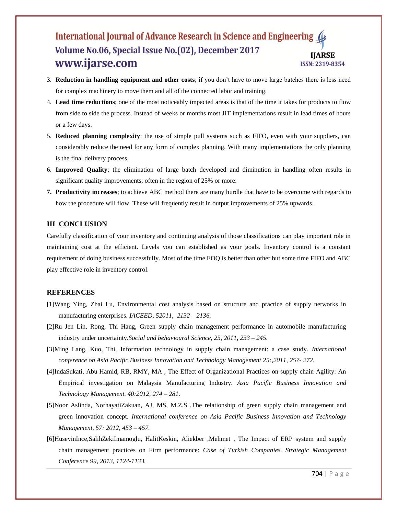- 3. **Reduction in handling equipment and other costs**; if you don't have to move large batches there is less need for complex machinery to move them and all of the connected labor and training.
- 4. **Lead time reductions**; one of the most noticeably impacted areas is that of the time it takes for products to flow from side to side the process. Instead of weeks or months most JIT implementations result in lead times of hours or a few days.
- 5. **Reduced planning complexity**; the use of simple pull systems such as FIFO, even with your suppliers, can considerably reduce the need for any form of complex planning. With many implementations the only planning is the final delivery process.
- 6. **Improved Quality**; the elimination of large batch developed and diminution in handling often results in significant quality improvements; often in the region of 25% or more.
- **7. Productivity increases**; to achieve ABC method there are many hurdle that have to be overcome with regards to how the procedure will flow. These will frequently result in output improvements of 25% upwards.

## **III CONCLUSION**

Carefully classification of your inventory and continuing analysis of those classifications can play important role in maintaining cost at the efficient. Levels you can established as your goals. Inventory control is a constant requirement of doing business successfully. Most of the time EOQ is better than other but some time FIFO and ABC play effective role in inventory control.

#### **REFERENCES**

- [1]Wang Ying, Zhai Lu, Environmental cost analysis based on structure and practice of supply networks in manufacturing enterprises. *IACEED, 52011, 2132 – 2136.*
- [2]Ru Jen Lin, Rong, Thi Hang, Green supply chain management performance in automobile manufacturing industry under uncertainty.*Social and behavioural Science, 25, 2011, 233 – 245.*
- [3]Ming Lang, Kuo, Thi, Information technology in supply chain management: a case study. *International conference on Asia Pacific Business Innovation and Technology Management 25:,2011, 257- 272.*
- [4]IndaSukati, Abu Hamid, RB, RMY, MA , The Effect of Organizational Practices on supply chain Agility: An Empirical investigation on Malaysia Manufacturing Industry. *Asia Pacific Business Innovation and Technology Management. 40:2012, 274 – 281.*
- [5]Noor Aslinda, NorhayatiZakuan, AJ, MS, M.Z.S ,The relationship of green supply chain management and green innovation concept. *International conference on Asia Pacific Business Innovation and Technology Management, 57: 2012, 453 – 457.*
- [6]HuseyinInce,SalihZekiImamoglu, HalitKeskin, Aliekber ,Mehmet , The Impact of ERP system and supply chain management practices on Firm performance: *Case of Turkish Companies. Strategic Management Conference 99, 2013, 1124-1133.*